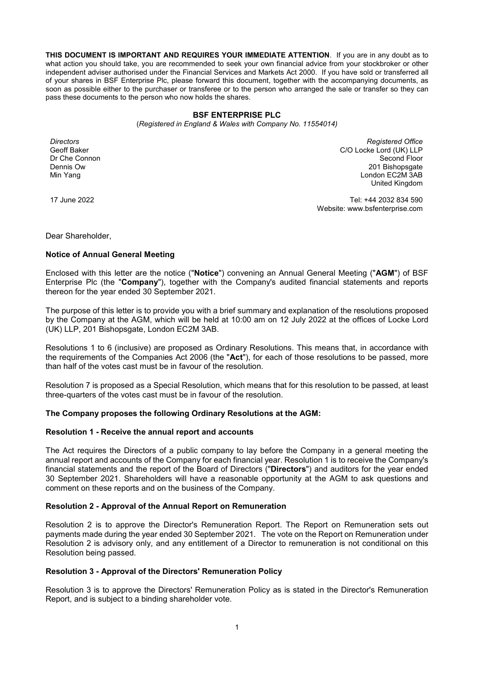**THIS DOCUMENT IS IMPORTANT AND REQUIRES YOUR IMMEDIATE ATTENTION**. If you are in any doubt as to what action you should take, you are recommended to seek your own financial advice from your stockbroker or other independent adviser authorised under the Financial Services and Markets Act 2000. If you have sold or transferred all of your shares in BSF Enterprise Plc, please forward this document, together with the accompanying documents, as soon as possible either to the purchaser or transferee or to the person who arranged the sale or transfer so they can pass these documents to the person who now holds the shares.

## **BSF ENTERPRISE PLC**

(*Registered in England & Wales with Company No. 11554014)*

*Directors*  Geoff Baker Dr Che Connon Dennis Ow Min Yang

*Registered Office*  C/O Locke Lord (UK) LLP Second Floor 201 Bishopsgate London EC2M 3AB United Kingdom

17 June 2022

Tel: +44 2032 834 590 Website: www.bsfenterprise.com

Dear Shareholder,

## **Notice of Annual General Meeting**

Enclosed with this letter are the notice ("**Notice**") convening an Annual General Meeting ("**AGM**") of BSF Enterprise Plc (the "**Company**"), together with the Company's audited financial statements and reports thereon for the year ended 30 September 2021.

The purpose of this letter is to provide you with a brief summary and explanation of the resolutions proposed by the Company at the AGM, which will be held at 10:00 am on 12 July 2022 at the offices of Locke Lord (UK) LLP, 201 Bishopsgate, London EC2M 3AB.

Resolutions 1 to 6 (inclusive) are proposed as Ordinary Resolutions. This means that, in accordance with the requirements of the Companies Act 2006 (the "**Act**"), for each of those resolutions to be passed, more than half of the votes cast must be in favour of the resolution.

Resolution 7 is proposed as a Special Resolution, which means that for this resolution to be passed, at least three-quarters of the votes cast must be in favour of the resolution.

## **The Company proposes the following Ordinary Resolutions at the AGM:**

### **Resolution 1 - Receive the annual report and accounts**

The Act requires the Directors of a public company to lay before the Company in a general meeting the annual report and accounts of the Company for each financial year. Resolution 1 is to receive the Company's financial statements and the report of the Board of Directors ("**Directors**") and auditors for the year ended 30 September 2021. Shareholders will have a reasonable opportunity at the AGM to ask questions and comment on these reports and on the business of the Company.

## **Resolution 2 - Approval of the Annual Report on Remuneration**

Resolution 2 is to approve the Director's Remuneration Report. The Report on Remuneration sets out payments made during the year ended 30 September 2021. The vote on the Report on Remuneration under Resolution 2 is advisory only, and any entitlement of a Director to remuneration is not conditional on this Resolution being passed.

### **Resolution 3 - Approval of the Directors' Remuneration Policy**

Resolution 3 is to approve the Directors' Remuneration Policy as is stated in the Director's Remuneration Report, and is subject to a binding shareholder vote.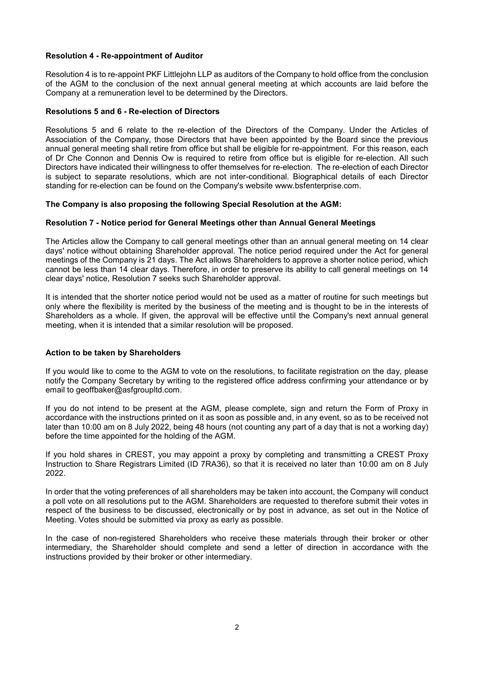# **Resolution 4 - Re-appointment of Auditor**

Resolution 4 is to re-appoint PKF Littlejohn LLP as auditors of the Company to hold office from the conclusion of the AGM to the conclusion of the next annual general meeting at which accounts are laid before the Company at a remuneration level to be determined by the Directors.

# **Resolutions 5 and 6 - Re-election of Directors**

Resolutions 5 and 6 relate to the re-election of the Directors of the Company. Under the Articles of Association of the Company, those Directors that have been appointed by the Board since the previous annual general meeting shall retire from office but shall be eligible for re-appointment. For this reason, each of Dr Che Connon and Dennis Ow is required to retire from office but is eligible for re-election. All such Directors have indicated their willingness to offer themselves for re-election. The re-election of each Director is subject to separate resolutions, which are not inter-conditional. Biographical details of each Director standing for re-election can be found on the Company's website www.bsfenterprise.com.

# **The Company is also proposing the following Special Resolution at the AGM:**

# **Resolution 7 - Notice period for General Meetings other than Annual General Meetings**

The Articles allow the Company to call general meetings other than an annual general meeting on 14 clear days' notice without obtaining Shareholder approval. The notice period required under the Act for general meetings of the Company is 21 days. The Act allows Shareholders to approve a shorter notice period, which cannot be less than 14 clear days. Therefore, in order to preserve its ability to call general meetings on 14 clear days' notice, Resolution 7 seeks such Shareholder approval.

It is intended that the shorter notice period would not be used as a matter of routine for such meetings but only where the flexibility is merited by the business of the meeting and is thought to be in the interests of Shareholders as a whole. If given, the approval will be effective until the Company's next annual general meeting, when it is intended that a similar resolution will be proposed.

# **Action to be taken by Shareholders**

If you would like to come to the AGM to vote on the resolutions, to facilitate registration on the day, please notify the Company Secretary by writing to the registered office address confirming your attendance or by email to geoffbaker@asfgroupltd.com.

If you do not intend to be present at the AGM, please complete, sign and return the Form of Proxy in accordance with the instructions printed on it as soon as possible and, in any event, so as to be received not later than 10:00 am on 8 July 2022, being 48 hours (not counting any part of a day that is not a working day) before the time appointed for the holding of the AGM.

If you hold shares in CREST, you may appoint a proxy by completing and transmitting a CREST Proxy Instruction to Share Registrars Limited (ID 7RA36), so that it is received no later than 10:00 am on 8 July 2022.

In order that the voting preferences of all shareholders may be taken into account, the Company will conduct a poll vote on all resolutions put to the AGM. Shareholders are requested to therefore submit their votes in respect of the business to be discussed, electronically or by post in advance, as set out in the Notice of Meeting. Votes should be submitted via proxy as early as possible.

In the case of non-registered Shareholders who receive these materials through their broker or other intermediary, the Shareholder should complete and send a letter of direction in accordance with the instructions provided by their broker or other intermediary.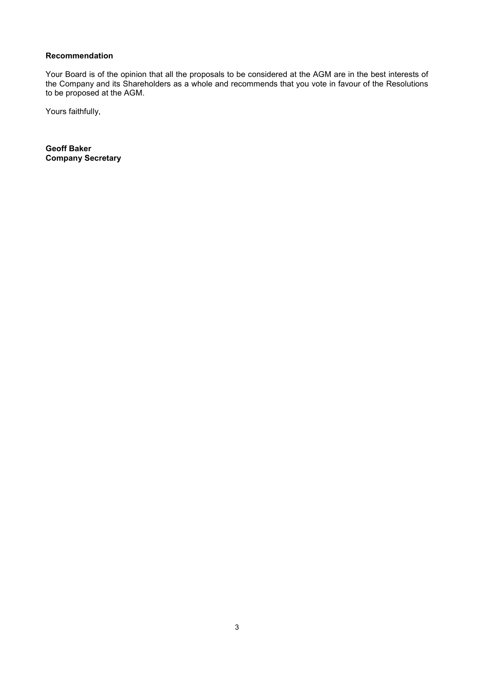# **Recommendation**

Your Board is of the opinion that all the proposals to be considered at the AGM are in the best interests of the Company and its Shareholders as a whole and recommends that you vote in favour of the Resolutions to be proposed at the AGM.

Yours faithfully,

**Geoff Baker Company Secretary**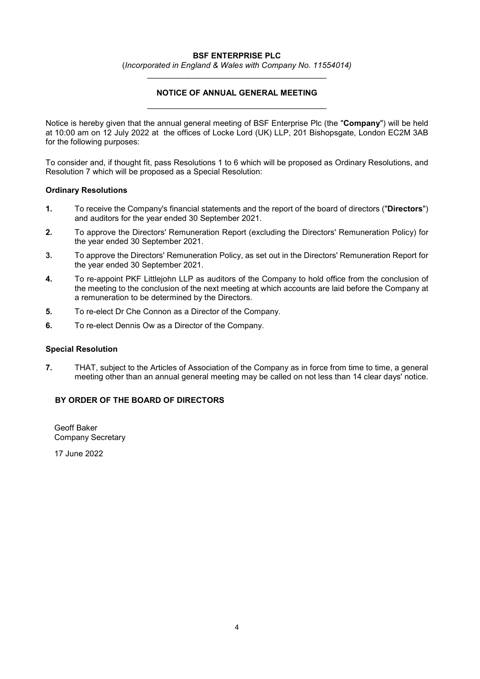# **BSF ENTERPRISE PLC**

(*Incorporated in England & Wales with Company No. 11554014)*

# **NOTICE OF ANNUAL GENERAL MEETING**

Notice is hereby given that the annual general meeting of BSF Enterprise Plc (the "**Company**") will be held at 10:00 am on 12 July 2022 at the offices of Locke Lord (UK) LLP, 201 Bishopsgate, London EC2M 3AB for the following purposes:

To consider and, if thought fit, pass Resolutions 1 to 6 which will be proposed as Ordinary Resolutions, and Resolution 7 which will be proposed as a Special Resolution:

## **Ordinary Resolutions**

- **1.** To receive the Company's financial statements and the report of the board of directors ("**Directors**") and auditors for the year ended 30 September 2021.
- **2.** To approve the Directors' Remuneration Report (excluding the Directors' Remuneration Policy) for the year ended 30 September 2021.
- **3.** To approve the Directors' Remuneration Policy, as set out in the Directors' Remuneration Report for the year ended 30 September 2021.
- **4.** To re-appoint PKF Littlejohn LLP as auditors of the Company to hold office from the conclusion of the meeting to the conclusion of the next meeting at which accounts are laid before the Company at a remuneration to be determined by the Directors.
- **5.** To re-elect Dr Che Connon as a Director of the Company.
- **6.** To re-elect Dennis Ow as a Director of the Company.

## **Special Resolution**

**7.** THAT, subject to the Articles of Association of the Company as in force from time to time, a general meeting other than an annual general meeting may be called on not less than 14 clear days' notice.

# **BY ORDER OF THE BOARD OF DIRECTORS**

Geoff Baker Company Secretary

17 June 2022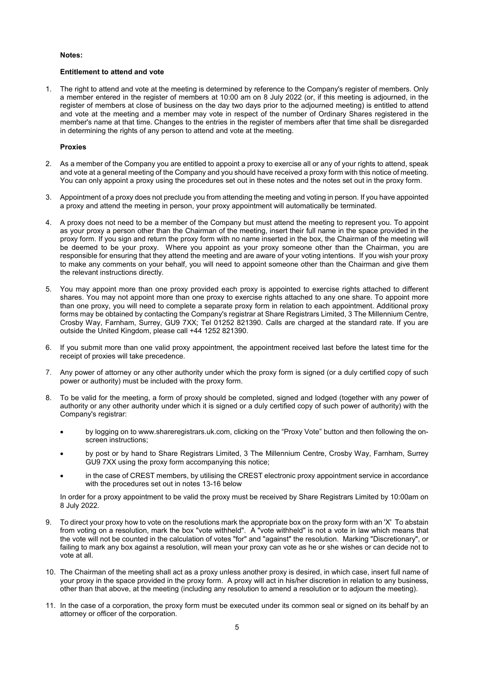### **Notes:**

### **Entitlement to attend and vote**

1. The right to attend and vote at the meeting is determined by reference to the Company's register of members. Only a member entered in the register of members at 10:00 am on 8 July 2022 (or, if this meeting is adjourned, in the register of members at close of business on the day two days prior to the adjourned meeting) is entitled to attend and vote at the meeting and a member may vote in respect of the number of Ordinary Shares registered in the member's name at that time. Changes to the entries in the register of members after that time shall be disregarded in determining the rights of any person to attend and vote at the meeting.

## **Proxies**

- 2. As a member of the Company you are entitled to appoint a proxy to exercise all or any of your rights to attend, speak and vote at a general meeting of the Company and you should have received a proxy form with this notice of meeting. You can only appoint a proxy using the procedures set out in these notes and the notes set out in the proxy form.
- 3. Appointment of a proxy does not preclude you from attending the meeting and voting in person. If you have appointed a proxy and attend the meeting in person, your proxy appointment will automatically be terminated.
- 4. A proxy does not need to be a member of the Company but must attend the meeting to represent you. To appoint as your proxy a person other than the Chairman of the meeting, insert their full name in the space provided in the proxy form. If you sign and return the proxy form with no name inserted in the box, the Chairman of the meeting will be deemed to be your proxy. Where you appoint as your proxy someone other than the Chairman, you are responsible for ensuring that they attend the meeting and are aware of your voting intentions. If you wish your proxy to make any comments on your behalf, you will need to appoint someone other than the Chairman and give them the relevant instructions directly.
- 5. You may appoint more than one proxy provided each proxy is appointed to exercise rights attached to different shares. You may not appoint more than one proxy to exercise rights attached to any one share. To appoint more than one proxy, you will need to complete a separate proxy form in relation to each appointment. Additional proxy forms may be obtained by contacting the Company's registrar at Share Registrars Limited, 3 The Millennium Centre, Crosby Way, Farnham, Surrey, GU9 7XX; Tel 01252 821390. Calls are charged at the standard rate. If you are outside the United Kingdom, please call +44 1252 821390.
- 6. If you submit more than one valid proxy appointment, the appointment received last before the latest time for the receipt of proxies will take precedence.
- 7. Any power of attorney or any other authority under which the proxy form is signed (or a duly certified copy of such power or authority) must be included with the proxy form.
- 8. To be valid for the meeting, a form of proxy should be completed, signed and lodged (together with any power of authority or any other authority under which it is signed or a duly certified copy of such power of authority) with the Company's registrar:
	- by logging on to www.shareregistrars.uk.com, clicking on the "Proxy Vote" button and then following the onscreen instructions;
	- by post or by hand to Share Registrars Limited, 3 The Millennium Centre, Crosby Way, Farnham, Surrey GU9 7XX using the proxy form accompanying this notice;
	- in the case of CREST members, by utilising the CREST electronic proxy appointment service in accordance with the procedures set out in notes 13-16 below

In order for a proxy appointment to be valid the proxy must be received by Share Registrars Limited by 10:00am on 8 July 2022.

- 9. To direct your proxy how to vote on the resolutions mark the appropriate box on the proxy form with an 'X' To abstain from voting on a resolution, mark the box "vote withheld". A "vote withheld" is not a vote in law which means that the vote will not be counted in the calculation of votes "for" and "against" the resolution. Marking "Discretionary", or failing to mark any box against a resolution, will mean your proxy can vote as he or she wishes or can decide not to vote at all.
- 10. The Chairman of the meeting shall act as a proxy unless another proxy is desired, in which case, insert full name of your proxy in the space provided in the proxy form. A proxy will act in his/her discretion in relation to any business, other than that above, at the meeting (including any resolution to amend a resolution or to adjourn the meeting).
- 11. In the case of a corporation, the proxy form must be executed under its common seal or signed on its behalf by an attorney or officer of the corporation.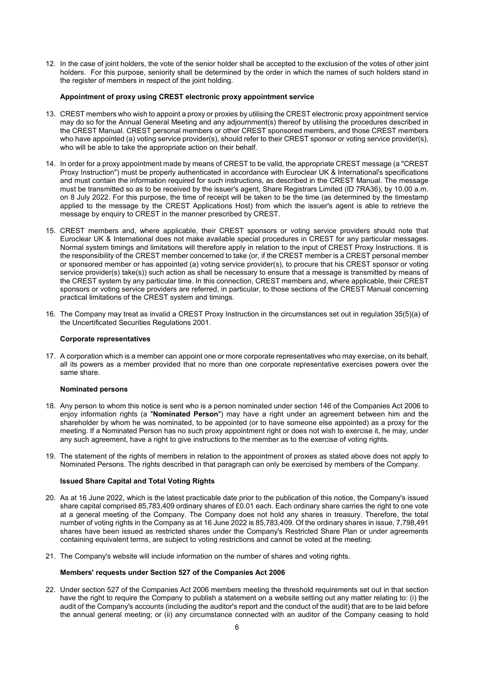12. In the case of joint holders, the vote of the senior holder shall be accepted to the exclusion of the votes of other joint holders. For this purpose, seniority shall be determined by the order in which the names of such holders stand in the register of members in respect of the joint holding.

### **Appointment of proxy using CREST electronic proxy appointment service**

- 13. CREST members who wish to appoint a proxy or proxies by utilising the CREST electronic proxy appointment service may do so for the Annual General Meeting and any adjournment(s) thereof by utilising the procedures described in the CREST Manual. CREST personal members or other CREST sponsored members, and those CREST members who have appointed (a) voting service provider(s), should refer to their CREST sponsor or voting service provider(s), who will be able to take the appropriate action on their behalf.
- 14. In order for a proxy appointment made by means of CREST to be valid, the appropriate CREST message (a "CREST Proxy Instruction") must be properly authenticated in accordance with Euroclear UK & International's specifications and must contain the information required for such instructions, as described in the CREST Manual. The message must be transmitted so as to be received by the issuer's agent, Share Registrars Limited (ID 7RA36), by 10.00 a.m. on 8 July 2022. For this purpose, the time of receipt will be taken to be the time (as determined by the timestamp applied to the message by the CREST Applications Host) from which the issuer's agent is able to retrieve the message by enquiry to CREST in the manner prescribed by CREST.
- 15. CREST members and, where applicable, their CREST sponsors or voting service providers should note that Euroclear UK & International does not make available special procedures in CREST for any particular messages. Normal system timings and limitations will therefore apply in relation to the input of CREST Proxy Instructions. It is the responsibility of the CREST member concerned to take (or, if the CREST member is a CREST personal member or sponsored member or has appointed (a) voting service provider(s), to procure that his CREST sponsor or voting service provider(s) take(s)) such action as shall be necessary to ensure that a message is transmitted by means of the CREST system by any particular time. In this connection, CREST members and, where applicable, their CREST sponsors or voting service providers are referred, in particular, to those sections of the CREST Manual concerning practical limitations of the CREST system and timings.
- 16. The Company may treat as invalid a CREST Proxy Instruction in the circumstances set out in regulation 35(5)(a) of the Uncertificated Securities Regulations 2001.

#### **Corporate representatives**

17. A corporation which is a member can appoint one or more corporate representatives who may exercise, on its behalf, all its powers as a member provided that no more than one corporate representative exercises powers over the same share.

#### **Nominated persons**

- 18. Any person to whom this notice is sent who is a person nominated under section 146 of the Companies Act 2006 to enjoy information rights (a "**Nominated Person**") may have a right under an agreement between him and the shareholder by whom he was nominated, to be appointed (or to have someone else appointed) as a proxy for the meeting. If a Nominated Person has no such proxy appointment right or does not wish to exercise it, he may, under any such agreement, have a right to give instructions to the member as to the exercise of voting rights.
- 19. The statement of the rights of members in relation to the appointment of proxies as stated above does not apply to Nominated Persons. The rights described in that paragraph can only be exercised by members of the Company.

#### **Issued Share Capital and Total Voting Rights**

- 20. As at 16 June 2022, which is the latest practicable date prior to the publication of this notice, the Company's issued share capital comprised 85,783,409 ordinary shares of £0.01 each. Each ordinary share carries the right to one vote at a general meeting of the Company. The Company does not hold any shares in treasury. Therefore, the total number of voting rights in the Company as at 16 June 2022 is 85,783,409. Of the ordinary shares in issue, 7,798,491 shares have been issued as restricted shares under the Company's Restricted Share Plan or under agreements containing equivalent terms, are subject to voting restrictions and cannot be voted at the meeting.
- 21. The Company's website will include information on the number of shares and voting rights.

#### **Members' requests under Section 527 of the Companies Act 2006**

22. Under section 527 of the Companies Act 2006 members meeting the threshold requirements set out in that section have the right to require the Company to publish a statement on a website setting out any matter relating to: (i) the audit of the Company's accounts (including the auditor's report and the conduct of the audit) that are to be laid before the annual general meeting; or (ii) any circumstance connected with an auditor of the Company ceasing to hold